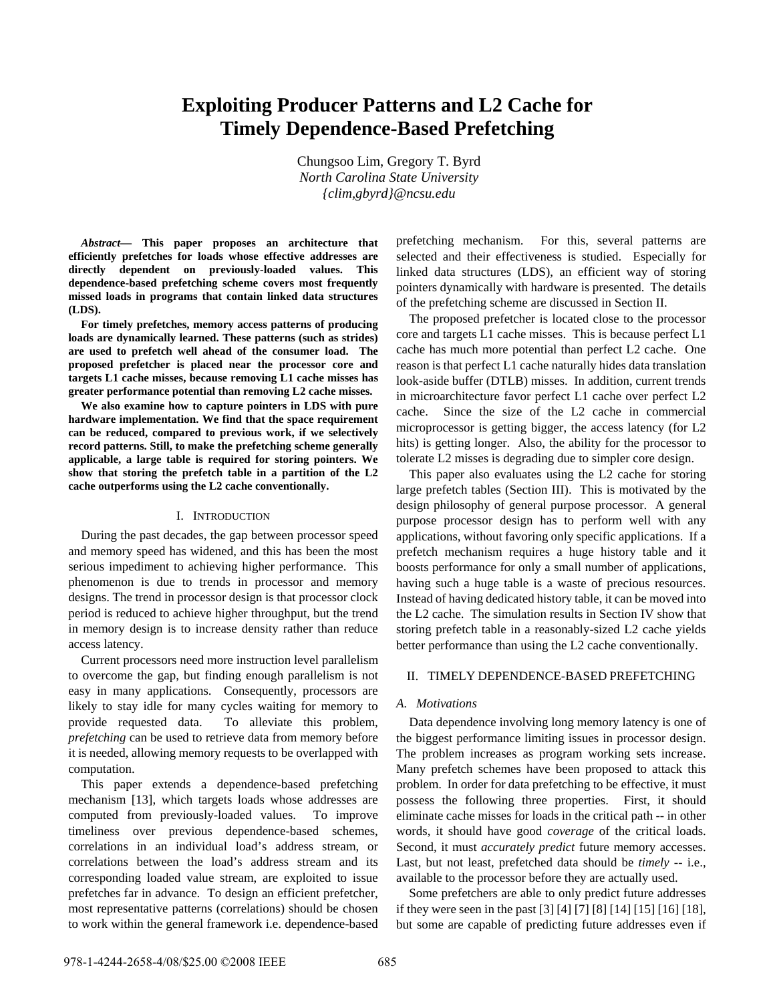# **Exploiting Producer Patterns and L2 Cache for Timely Dependence-Based Prefetching**

Chungsoo Lim, Gregory T. Byrd *North Carolina State University {clim,gbyrd}@ncsu.edu*

*Abstract***— This paper proposes an architecture that efficiently prefetches for loads whose effective addresses are directly dependent on previously-loaded values. This dependence-based prefetching scheme covers most frequently missed loads in programs that contain linked data structures (LDS).** 

**For timely prefetches, memory access patterns of producing loads are dynamically learned. These patterns (such as strides) are used to prefetch well ahead of the consumer load. The proposed prefetcher is placed near the processor core and targets L1 cache misses, because removing L1 cache misses has greater performance potential than removing L2 cache misses.** 

**We also examine how to capture pointers in LDS with pure hardware implementation. We find that the space requirement can be reduced, compared to previous work, if we selectively record patterns. Still, to make the prefetching scheme generally applicable, a large table is required for storing pointers. We show that storing the prefetch table in a partition of the L2 cache outperforms using the L2 cache conventionally.** 

#### I. INTRODUCTION

During the past decades, the gap between processor speed and memory speed has widened, and this has been the most serious impediment to achieving higher performance. This phenomenon is due to trends in processor and memory designs. The trend in processor design is that processor clock period is reduced to achieve higher throughput, but the trend in memory design is to increase density rather than reduce access latency.

Current processors need more instruction level parallelism to overcome the gap, but finding enough parallelism is not easy in many applications. Consequently, processors are likely to stay idle for many cycles waiting for memory to provide requested data. To alleviate this problem, *prefetching* can be used to retrieve data from memory before it is needed, allowing memory requests to be overlapped with computation.

This paper extends a dependence-based prefetching mechanism [13], which targets loads whose addresses are computed from previously-loaded values. To improve timeliness over previous dependence-based schemes, correlations in an individual load's address stream, or correlations between the load's address stream and its corresponding loaded value stream, are exploited to issue prefetches far in advance. To design an efficient prefetcher, most representative patterns (correlations) should be chosen to work within the general framework i.e. dependence-based prefetching mechanism. For this, several patterns are selected and their effectiveness is studied. Especially for linked data structures (LDS), an efficient way of storing pointers dynamically with hardware is presented. The details of the prefetching scheme are discussed in Section II.

The proposed prefetcher is located close to the processor core and targets L1 cache misses. This is because perfect L1 cache has much more potential than perfect L2 cache. One reason is that perfect L1 cache naturally hides data translation look-aside buffer (DTLB) misses. In addition, current trends in microarchitecture favor perfect L1 cache over perfect L2 cache. Since the size of the L2 cache in commercial microprocessor is getting bigger, the access latency (for L2 hits) is getting longer. Also, the ability for the processor to tolerate L2 misses is degrading due to simpler core design.

This paper also evaluates using the L2 cache for storing large prefetch tables (Section III). This is motivated by the design philosophy of general purpose processor. A general purpose processor design has to perform well with any applications, without favoring only specific applications. If a prefetch mechanism requires a huge history table and it boosts performance for only a small number of applications, having such a huge table is a waste of precious resources. Instead of having dedicated history table, it can be moved into the L2 cache. The simulation results in Section IV show that storing prefetch table in a reasonably-sized L2 cache yields better performance than using the L2 cache conventionally.

## II. TIMELY DEPENDENCE-BASED PREFETCHING

## *A. Motivations*

Data dependence involving long memory latency is one of the biggest performance limiting issues in processor design. The problem increases as program working sets increase. Many prefetch schemes have been proposed to attack this problem. In order for data prefetching to be effective, it must possess the following three properties. First, it should eliminate cache misses for loads in the critical path -- in other words, it should have good *coverage* of the critical loads. Second, it must *accurately predict* future memory accesses. Last, but not least, prefetched data should be *timely* -- i.e., available to the processor before they are actually used.

Some prefetchers are able to only predict future addresses if they were seen in the past [3] [4] [7] [8] [14] [15] [16] [18], but some are capable of predicting future addresses even if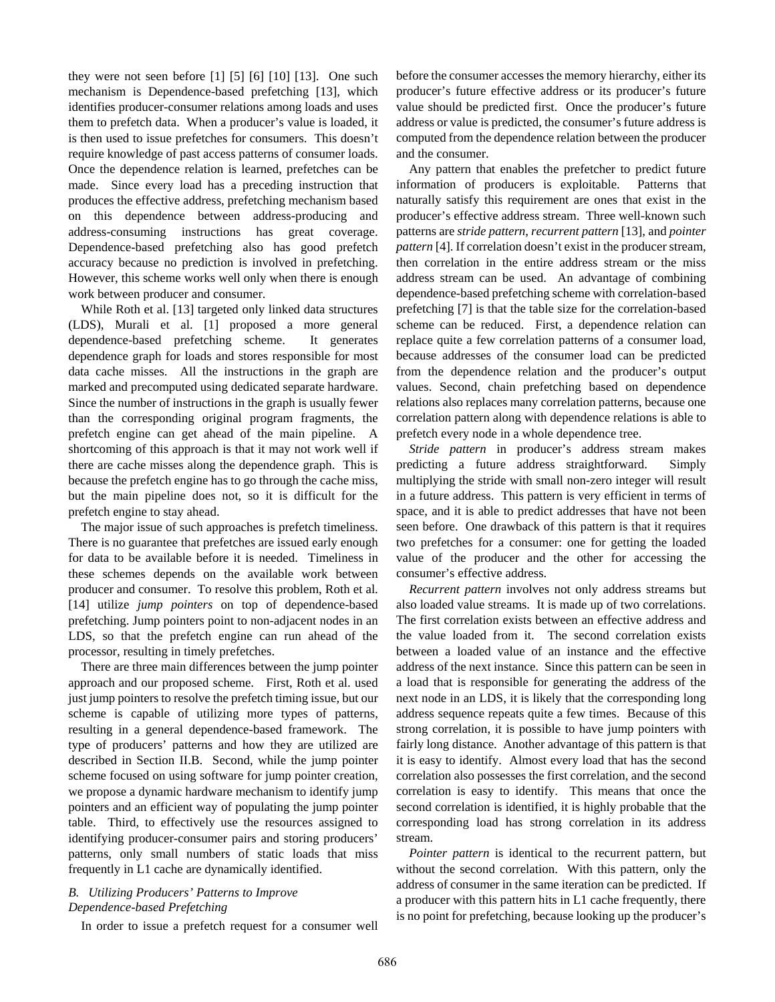they were not seen before  $\begin{bmatrix} 1 \end{bmatrix}$   $\begin{bmatrix} 5 \end{bmatrix}$   $\begin{bmatrix} 6 \end{bmatrix}$   $\begin{bmatrix} 10 \end{bmatrix}$   $\begin{bmatrix} 13 \end{bmatrix}$ . One such mechanism is Dependence-based prefetching [13], which identifies producer-consumer relations among loads and uses them to prefetch data. When a producer's value is loaded, it is then used to issue prefetches for consumers. This doesn't require knowledge of past access patterns of consumer loads. Once the dependence relation is learned, prefetches can be made. Since every load has a preceding instruction that produces the effective address, prefetching mechanism based on this dependence between address-producing and address-consuming instructions has great coverage. Dependence-based prefetching also has good prefetch accuracy because no prediction is involved in prefetching. However, this scheme works well only when there is enough work between producer and consumer.

While Roth et al. [13] targeted only linked data structures (LDS), Murali et al. [1] proposed a more general dependence-based prefetching scheme. It generates dependence graph for loads and stores responsible for most data cache misses. All the instructions in the graph are marked and precomputed using dedicated separate hardware. Since the number of instructions in the graph is usually fewer than the corresponding original program fragments, the prefetch engine can get ahead of the main pipeline. A shortcoming of this approach is that it may not work well if there are cache misses along the dependence graph. This is because the prefetch engine has to go through the cache miss, but the main pipeline does not, so it is difficult for the prefetch engine to stay ahead.

The major issue of such approaches is prefetch timeliness. There is no guarantee that prefetches are issued early enough for data to be available before it is needed. Timeliness in these schemes depends on the available work between producer and consumer. To resolve this problem, Roth et al. [14] utilize *jump pointers* on top of dependence-based prefetching. Jump pointers point to non-adjacent nodes in an LDS, so that the prefetch engine can run ahead of the processor, resulting in timely prefetches.

There are three main differences between the jump pointer approach and our proposed scheme. First, Roth et al. used just jump pointers to resolve the prefetch timing issue, but our scheme is capable of utilizing more types of patterns, resulting in a general dependence-based framework. The type of producers' patterns and how they are utilized are described in Section II.B. Second, while the jump pointer scheme focused on using software for jump pointer creation, we propose a dynamic hardware mechanism to identify jump pointers and an efficient way of populating the jump pointer table. Third, to effectively use the resources assigned to identifying producer-consumer pairs and storing producers' patterns, only small numbers of static loads that miss frequently in L1 cache are dynamically identified.

## *B. Utilizing Producers' Patterns to Improve Dependence-based Prefetching*

In order to issue a prefetch request for a consumer well

before the consumer accesses the memory hierarchy, either its producer's future effective address or its producer's future value should be predicted first. Once the producer's future address or value is predicted, the consumer's future address is computed from the dependence relation between the producer and the consumer.

Any pattern that enables the prefetcher to predict future information of producers is exploitable. Patterns that naturally satisfy this requirement are ones that exist in the producer's effective address stream. Three well-known such patterns are *stride pattern*, *recurrent pattern* [13], and *pointer pattern* [4]. If correlation doesn't exist in the producer stream, then correlation in the entire address stream or the miss address stream can be used. An advantage of combining dependence-based prefetching scheme with correlation-based prefetching [7] is that the table size for the correlation-based scheme can be reduced. First, a dependence relation can replace quite a few correlation patterns of a consumer load, because addresses of the consumer load can be predicted from the dependence relation and the producer's output values. Second, chain prefetching based on dependence relations also replaces many correlation patterns, because one correlation pattern along with dependence relations is able to prefetch every node in a whole dependence tree.

*Stride pattern* in producer's address stream makes predicting a future address straightforward. Simply multiplying the stride with small non-zero integer will result in a future address. This pattern is very efficient in terms of space, and it is able to predict addresses that have not been seen before. One drawback of this pattern is that it requires two prefetches for a consumer: one for getting the loaded value of the producer and the other for accessing the consumer's effective address.

*Recurrent pattern* involves not only address streams but also loaded value streams. It is made up of two correlations. The first correlation exists between an effective address and the value loaded from it. The second correlation exists between a loaded value of an instance and the effective address of the next instance. Since this pattern can be seen in a load that is responsible for generating the address of the next node in an LDS, it is likely that the corresponding long address sequence repeats quite a few times. Because of this strong correlation, it is possible to have jump pointers with fairly long distance. Another advantage of this pattern is that it is easy to identify. Almost every load that has the second correlation also possesses the first correlation, and the second correlation is easy to identify. This means that once the second correlation is identified, it is highly probable that the corresponding load has strong correlation in its address stream.

*Pointer pattern* is identical to the recurrent pattern, but without the second correlation. With this pattern, only the address of consumer in the same iteration can be predicted. If a producer with this pattern hits in L1 cache frequently, there is no point for prefetching, because looking up the producer's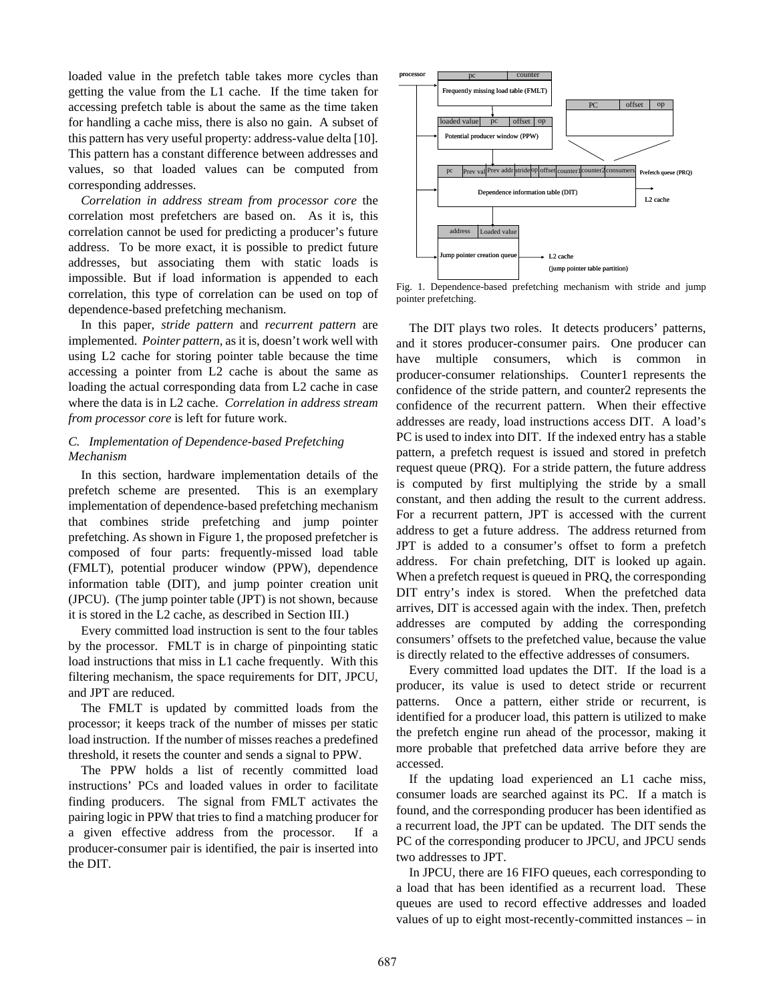loaded value in the prefetch table takes more cycles than getting the value from the L1 cache. If the time taken for accessing prefetch table is about the same as the time taken for handling a cache miss, there is also no gain. A subset of this pattern has very useful property: address-value delta [10]. This pattern has a constant difference between addresses and values, so that loaded values can be computed from corresponding addresses.

*Correlation in address stream from processor core* the correlation most prefetchers are based on. As it is, this correlation cannot be used for predicting a producer's future address. To be more exact, it is possible to predict future addresses, but associating them with static loads is impossible. But if load information is appended to each correlation, this type of correlation can be used on top of dependence-based prefetching mechanism.

In this paper, *stride pattern* and *recurrent pattern* are implemented. *Pointer pattern*, as it is, doesn't work well with using L2 cache for storing pointer table because the time accessing a pointer from L2 cache is about the same as loading the actual corresponding data from L2 cache in case where the data is in L2 cache. *Correlation in address stream from processor core* is left for future work.

# *C. Implementation of Dependence-based Prefetching Mechanism*

In this section, hardware implementation details of the prefetch scheme are presented. This is an exemplary implementation of dependence-based prefetching mechanism that combines stride prefetching and jump pointer prefetching. As shown in Figure 1, the proposed prefetcher is composed of four parts: frequently-missed load table (FMLT), potential producer window (PPW), dependence information table (DIT), and jump pointer creation unit (JPCU). (The jump pointer table (JPT) is not shown, because it is stored in the L2 cache, as described in Section III.)

Every committed load instruction is sent to the four tables by the processor. FMLT is in charge of pinpointing static load instructions that miss in L1 cache frequently. With this filtering mechanism, the space requirements for DIT, JPCU, and JPT are reduced.

The FMLT is updated by committed loads from the processor; it keeps track of the number of misses per static load instruction. If the number of misses reaches a predefined threshold, it resets the counter and sends a signal to PPW.

The PPW holds a list of recently committed load instructions' PCs and loaded values in order to facilitate finding producers. The signal from FMLT activates the pairing logic in PPW that tries to find a matching producer for a given effective address from the processor. If a producer-consumer pair is identified, the pair is inserted into the DIT.



Fig. 1. Dependence-based prefetching mechanism with stride and jump pointer prefetching.

The DIT plays two roles. It detects producers' patterns, and it stores producer-consumer pairs. One producer can have multiple consumers, which is common in producer-consumer relationships. Counter1 represents the confidence of the stride pattern, and counter2 represents the confidence of the recurrent pattern. When their effective addresses are ready, load instructions access DIT. A load's PC is used to index into DIT. If the indexed entry has a stable pattern, a prefetch request is issued and stored in prefetch request queue (PRQ). For a stride pattern, the future address is computed by first multiplying the stride by a small constant, and then adding the result to the current address. For a recurrent pattern, JPT is accessed with the current address to get a future address. The address returned from JPT is added to a consumer's offset to form a prefetch address. For chain prefetching, DIT is looked up again. When a prefetch request is queued in PRQ, the corresponding DIT entry's index is stored. When the prefetched data arrives, DIT is accessed again with the index. Then, prefetch addresses are computed by adding the corresponding consumers' offsets to the prefetched value, because the value is directly related to the effective addresses of consumers.

Every committed load updates the DIT. If the load is a producer, its value is used to detect stride or recurrent patterns. Once a pattern, either stride or recurrent, is identified for a producer load, this pattern is utilized to make the prefetch engine run ahead of the processor, making it more probable that prefetched data arrive before they are accessed.

If the updating load experienced an L1 cache miss, consumer loads are searched against its PC. If a match is found, and the corresponding producer has been identified as a recurrent load, the JPT can be updated. The DIT sends the PC of the corresponding producer to JPCU, and JPCU sends two addresses to JPT.

In JPCU, there are 16 FIFO queues, each corresponding to a load that has been identified as a recurrent load. These queues are used to record effective addresses and loaded values of up to eight most-recently-committed instances – in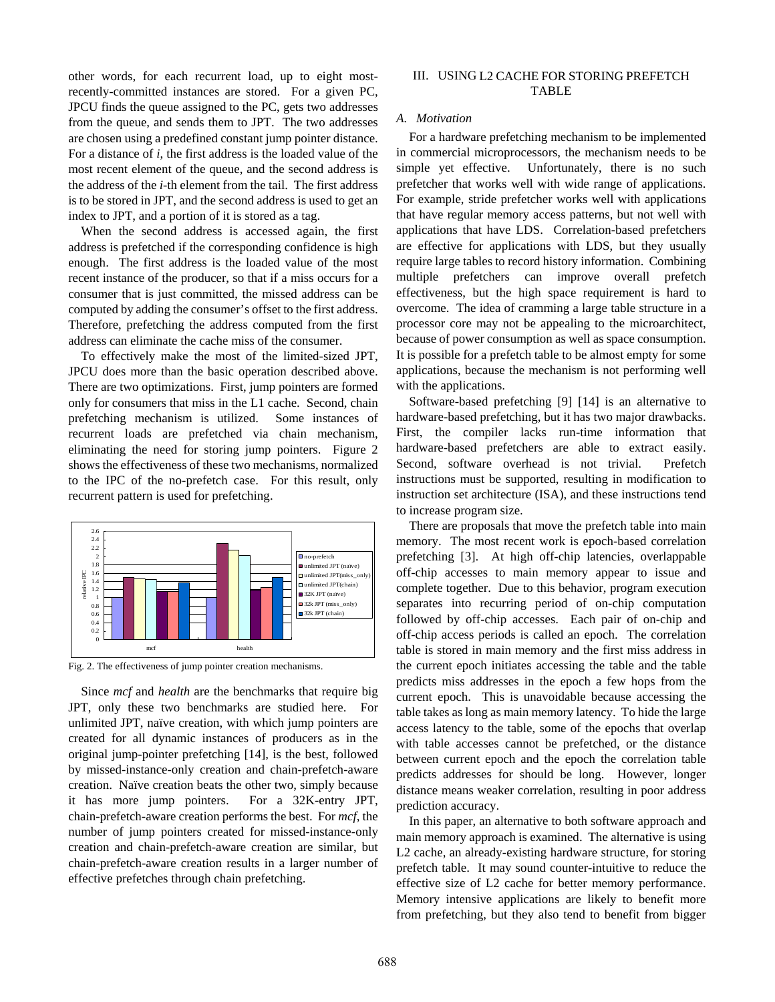other words, for each recurrent load, up to eight mostrecently-committed instances are stored. For a given PC, JPCU finds the queue assigned to the PC, gets two addresses from the queue, and sends them to JPT. The two addresses are chosen using a predefined constant jump pointer distance. For a distance of *i*, the first address is the loaded value of the most recent element of the queue, and the second address is the address of the *i*-th element from the tail. The first address is to be stored in JPT, and the second address is used to get an index to JPT, and a portion of it is stored as a tag.

When the second address is accessed again, the first address is prefetched if the corresponding confidence is high enough. The first address is the loaded value of the most recent instance of the producer, so that if a miss occurs for a consumer that is just committed, the missed address can be computed by adding the consumer's offset to the first address. Therefore, prefetching the address computed from the first address can eliminate the cache miss of the consumer.

To effectively make the most of the limited-sized JPT, JPCU does more than the basic operation described above. There are two optimizations. First, jump pointers are formed only for consumers that miss in the L1 cache. Second, chain prefetching mechanism is utilized. Some instances of recurrent loads are prefetched via chain mechanism, eliminating the need for storing jump pointers. Figure 2 shows the effectiveness of these two mechanisms, normalized to the IPC of the no-prefetch case. For this result, only recurrent pattern is used for prefetching.



Fig. 2. The effectiveness of jump pointer creation mechanisms.

Since *mcf* and *health* are the benchmarks that require big JPT, only these two benchmarks are studied here. For unlimited JPT, naïve creation, with which jump pointers are created for all dynamic instances of producers as in the original jump-pointer prefetching [14], is the best, followed by missed-instance-only creation and chain-prefetch-aware creation. Naïve creation beats the other two, simply because it has more jump pointers. For a 32K-entry JPT, chain-prefetch-aware creation performs the best. For *mcf*, the number of jump pointers created for missed-instance-only creation and chain-prefetch-aware creation are similar, but chain-prefetch-aware creation results in a larger number of effective prefetches through chain prefetching.

#### III. USING L2 CACHE FOR STORING PREFETCH TABLE

## *A. Motivation*

For a hardware prefetching mechanism to be implemented in commercial microprocessors, the mechanism needs to be simple yet effective. Unfortunately, there is no such prefetcher that works well with wide range of applications. For example, stride prefetcher works well with applications that have regular memory access patterns, but not well with applications that have LDS. Correlation-based prefetchers are effective for applications with LDS, but they usually require large tables to record history information. Combining multiple prefetchers can improve overall prefetch effectiveness, but the high space requirement is hard to overcome. The idea of cramming a large table structure in a processor core may not be appealing to the microarchitect, because of power consumption as well as space consumption. It is possible for a prefetch table to be almost empty for some applications, because the mechanism is not performing well with the applications.

Software-based prefetching [9] [14] is an alternative to hardware-based prefetching, but it has two major drawbacks. First, the compiler lacks run-time information that hardware-based prefetchers are able to extract easily. Second, software overhead is not trivial. Prefetch instructions must be supported, resulting in modification to instruction set architecture (ISA), and these instructions tend to increase program size.

There are proposals that move the prefetch table into main memory. The most recent work is epoch-based correlation prefetching [3]. At high off-chip latencies, overlappable off-chip accesses to main memory appear to issue and complete together. Due to this behavior, program execution separates into recurring period of on-chip computation followed by off-chip accesses. Each pair of on-chip and off-chip access periods is called an epoch. The correlation table is stored in main memory and the first miss address in the current epoch initiates accessing the table and the table predicts miss addresses in the epoch a few hops from the current epoch. This is unavoidable because accessing the table takes as long as main memory latency. To hide the large access latency to the table, some of the epochs that overlap with table accesses cannot be prefetched, or the distance between current epoch and the epoch the correlation table predicts addresses for should be long. However, longer distance means weaker correlation, resulting in poor address prediction accuracy.

In this paper, an alternative to both software approach and main memory approach is examined. The alternative is using L2 cache, an already-existing hardware structure, for storing prefetch table. It may sound counter-intuitive to reduce the effective size of L2 cache for better memory performance. Memory intensive applications are likely to benefit more from prefetching, but they also tend to benefit from bigger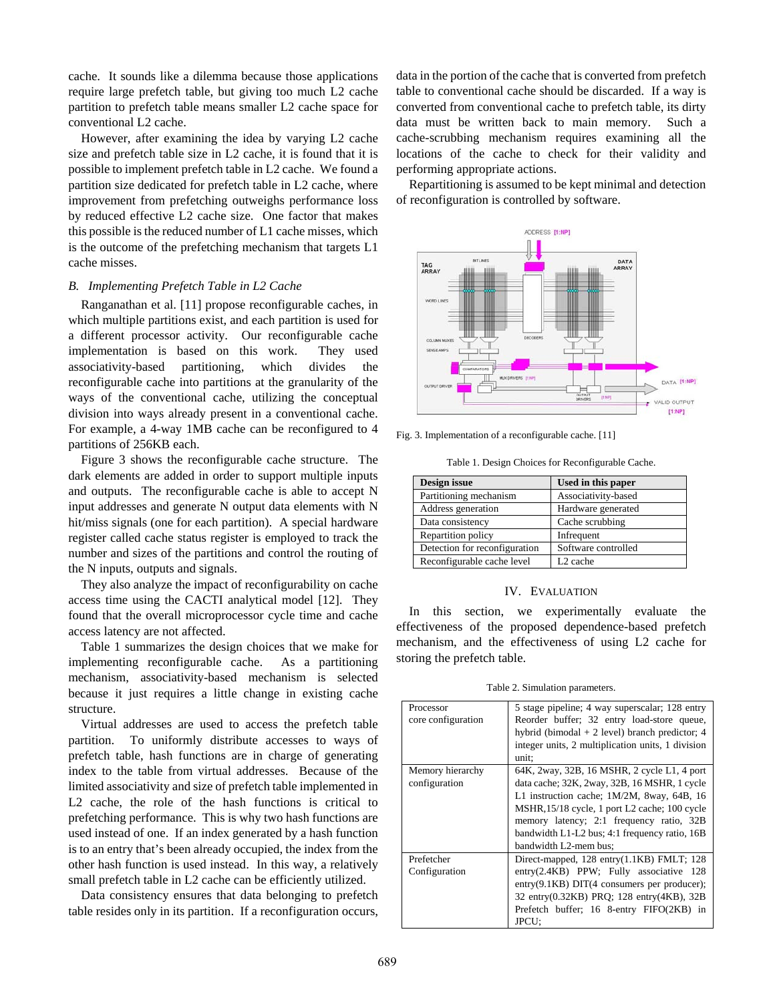cache. It sounds like a dilemma because those applications require large prefetch table, but giving too much L2 cache partition to prefetch table means smaller L2 cache space for conventional L2 cache.

However, after examining the idea by varying L2 cache size and prefetch table size in L2 cache, it is found that it is possible to implement prefetch table in L2 cache. We found a partition size dedicated for prefetch table in L2 cache, where improvement from prefetching outweighs performance loss by reduced effective L2 cache size. One factor that makes this possible is the reduced number of L1 cache misses, which is the outcome of the prefetching mechanism that targets L1 cache misses.

#### *B. Implementing Prefetch Table in L2 Cache*

Ranganathan et al. [11] propose reconfigurable caches, in which multiple partitions exist, and each partition is used for a different processor activity. Our reconfigurable cache implementation is based on this work. They used associativity-based partitioning, which divides the reconfigurable cache into partitions at the granularity of the ways of the conventional cache, utilizing the conceptual division into ways already present in a conventional cache. For example, a 4-way 1MB cache can be reconfigured to 4 partitions of 256KB each.

Figure 3 shows the reconfigurable cache structure. The dark elements are added in order to support multiple inputs and outputs. The reconfigurable cache is able to accept N input addresses and generate N output data elements with N hit/miss signals (one for each partition). A special hardware register called cache status register is employed to track the number and sizes of the partitions and control the routing of the N inputs, outputs and signals.

They also analyze the impact of reconfigurability on cache access time using the CACTI analytical model [12]. They found that the overall microprocessor cycle time and cache access latency are not affected.

Table 1 summarizes the design choices that we make for implementing reconfigurable cache. As a partitioning mechanism, associativity-based mechanism is selected because it just requires a little change in existing cache structure.

Virtual addresses are used to access the prefetch table partition. To uniformly distribute accesses to ways of prefetch table, hash functions are in charge of generating index to the table from virtual addresses. Because of the limited associativity and size of prefetch table implemented in L<sub>2</sub> cache, the role of the hash functions is critical to prefetching performance. This is why two hash functions are used instead of one. If an index generated by a hash function is to an entry that's been already occupied, the index from the other hash function is used instead. In this way, a relatively small prefetch table in L2 cache can be efficiently utilized.

Data consistency ensures that data belonging to prefetch table resides only in its partition. If a reconfiguration occurs,

data in the portion of the cache that is converted from prefetch table to conventional cache should be discarded. If a way is converted from conventional cache to prefetch table, its dirty data must be written back to main memory. Such a cache-scrubbing mechanism requires examining all the locations of the cache to check for their validity and performing appropriate actions.

Repartitioning is assumed to be kept minimal and detection of reconfiguration is controlled by software.



Fig. 3. Implementation of a reconfigurable cache. [11]

Table 1. Design Choices for Reconfigurable Cache.

| Design issue                  | Used in this paper   |
|-------------------------------|----------------------|
| Partitioning mechanism        | Associativity-based  |
| Address generation            | Hardware generated   |
| Data consistency              | Cache scrubbing      |
| Repartition policy            | Infrequent           |
| Detection for reconfiguration | Software controlled  |
| Reconfigurable cache level    | L <sub>2</sub> cache |

#### IV. EVALUATION

In this section, we experimentally evaluate the effectiveness of the proposed dependence-based prefetch mechanism, and the effectiveness of using L2 cache for storing the prefetch table.

Table 2. Simulation parameters.

| Processor          | 5 stage pipeline; 4 way superscalar; 128 entry    |
|--------------------|---------------------------------------------------|
| core configuration | Reorder buffer; 32 entry load-store queue,        |
|                    | hybrid (bimodal $+ 2$ level) branch predictor; 4  |
|                    | integer units, 2 multiplication units, 1 division |
|                    | unit;                                             |
| Memory hierarchy   | 64K, 2way, 32B, 16 MSHR, 2 cycle L1, 4 port       |
| configuration      | data cache; 32K, 2way, 32B, 16 MSHR, 1 cycle      |
|                    | L1 instruction cache; 1M/2M, 8way, 64B, 16        |
|                    | MSHR, 15/18 cycle, 1 port L2 cache; 100 cycle     |
|                    | memory latency; 2:1 frequency ratio, 32B          |
|                    | bandwidth L1-L2 bus; 4:1 frequency ratio, 16B     |
|                    | bandwidth L2-mem bus;                             |
| Prefetcher         | Direct-mapped, 128 entry(1.1KB) FMLT; 128         |
| Configuration      | entry(2.4KB) PPW; Fully associative 128           |
|                    | entry $(9.1KB)$ DIT $(4$ consumers per producer); |
|                    | 32 entry(0.32KB) PRQ; 128 entry(4KB), 32B         |
|                    | Prefetch buffer; 16 8-entry FIFO(2KB) in          |
|                    | JPCU:                                             |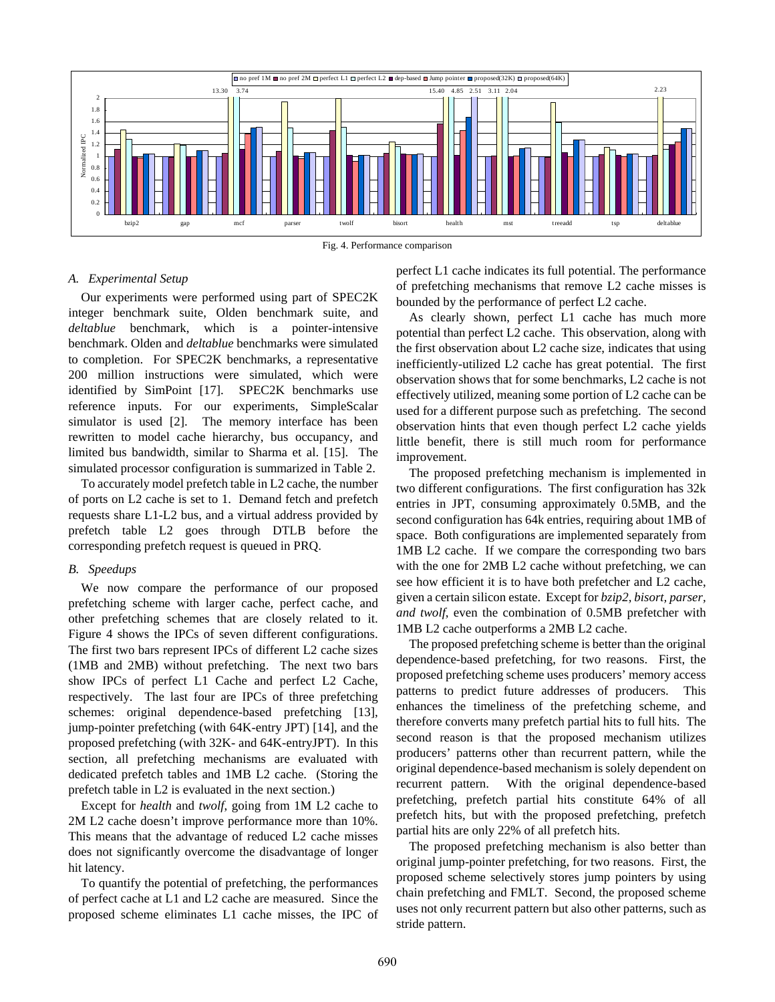



## *A. Experimental Setup*

Our experiments were performed using part of SPEC2K integer benchmark suite, Olden benchmark suite, and *deltablue* benchmark, which is a pointer-intensive benchmark. Olden and *deltablue* benchmarks were simulated to completion. For SPEC2K benchmarks, a representative 200 million instructions were simulated, which were identified by SimPoint [17]. SPEC2K benchmarks use reference inputs. For our experiments, SimpleScalar simulator is used [2]. The memory interface has been rewritten to model cache hierarchy, bus occupancy, and limited bus bandwidth, similar to Sharma et al. [15]. The simulated processor configuration is summarized in Table 2.

To accurately model prefetch table in L2 cache, the number of ports on L2 cache is set to 1. Demand fetch and prefetch requests share L1-L2 bus, and a virtual address provided by prefetch table L2 goes through DTLB before the corresponding prefetch request is queued in PRQ.

#### *B. Speedups*

We now compare the performance of our proposed prefetching scheme with larger cache, perfect cache, and other prefetching schemes that are closely related to it. Figure 4 shows the IPCs of seven different configurations. The first two bars represent IPCs of different L2 cache sizes (1MB and 2MB) without prefetching. The next two bars show IPCs of perfect L1 Cache and perfect L2 Cache, respectively. The last four are IPCs of three prefetching schemes: original dependence-based prefetching [13], jump-pointer prefetching (with 64K-entry JPT) [14], and the proposed prefetching (with 32K- and 64K-entryJPT). In this section, all prefetching mechanisms are evaluated with dedicated prefetch tables and 1MB L2 cache. (Storing the prefetch table in L2 is evaluated in the next section.)

Except for *health* and *twolf*, going from 1M L2 cache to 2M L2 cache doesn't improve performance more than 10%. This means that the advantage of reduced L2 cache misses does not significantly overcome the disadvantage of longer hit latency.

To quantify the potential of prefetching, the performances of perfect cache at L1 and L2 cache are measured. Since the proposed scheme eliminates L1 cache misses, the IPC of

perfect L1 cache indicates its full potential. The performance of prefetching mechanisms that remove L2 cache misses is bounded by the performance of perfect L2 cache.

As clearly shown, perfect L1 cache has much more potential than perfect L2 cache. This observation, along with the first observation about L2 cache size, indicates that using inefficiently-utilized L2 cache has great potential. The first observation shows that for some benchmarks, L2 cache is not effectively utilized, meaning some portion of L2 cache can be used for a different purpose such as prefetching. The second observation hints that even though perfect L2 cache yields little benefit, there is still much room for performance improvement.

The proposed prefetching mechanism is implemented in two different configurations. The first configuration has 32k entries in JPT, consuming approximately 0.5MB, and the second configuration has 64k entries, requiring about 1MB of space. Both configurations are implemented separately from 1MB L2 cache. If we compare the corresponding two bars with the one for 2MB L2 cache without prefetching, we can see how efficient it is to have both prefetcher and L2 cache, given a certain silicon estate. Except for *bzip2, bisort, parser, and twolf*, even the combination of 0.5MB prefetcher with 1MB L2 cache outperforms a 2MB L2 cache.

The proposed prefetching scheme is better than the original dependence-based prefetching, for two reasons. First, the proposed prefetching scheme uses producers' memory access patterns to predict future addresses of producers. This enhances the timeliness of the prefetching scheme, and therefore converts many prefetch partial hits to full hits. The second reason is that the proposed mechanism utilizes producers' patterns other than recurrent pattern, while the original dependence-based mechanism is solely dependent on recurrent pattern. With the original dependence-based prefetching, prefetch partial hits constitute 64% of all prefetch hits, but with the proposed prefetching, prefetch partial hits are only 22% of all prefetch hits.

The proposed prefetching mechanism is also better than original jump-pointer prefetching, for two reasons. First, the proposed scheme selectively stores jump pointers by using chain prefetching and FMLT. Second, the proposed scheme uses not only recurrent pattern but also other patterns, such as stride pattern.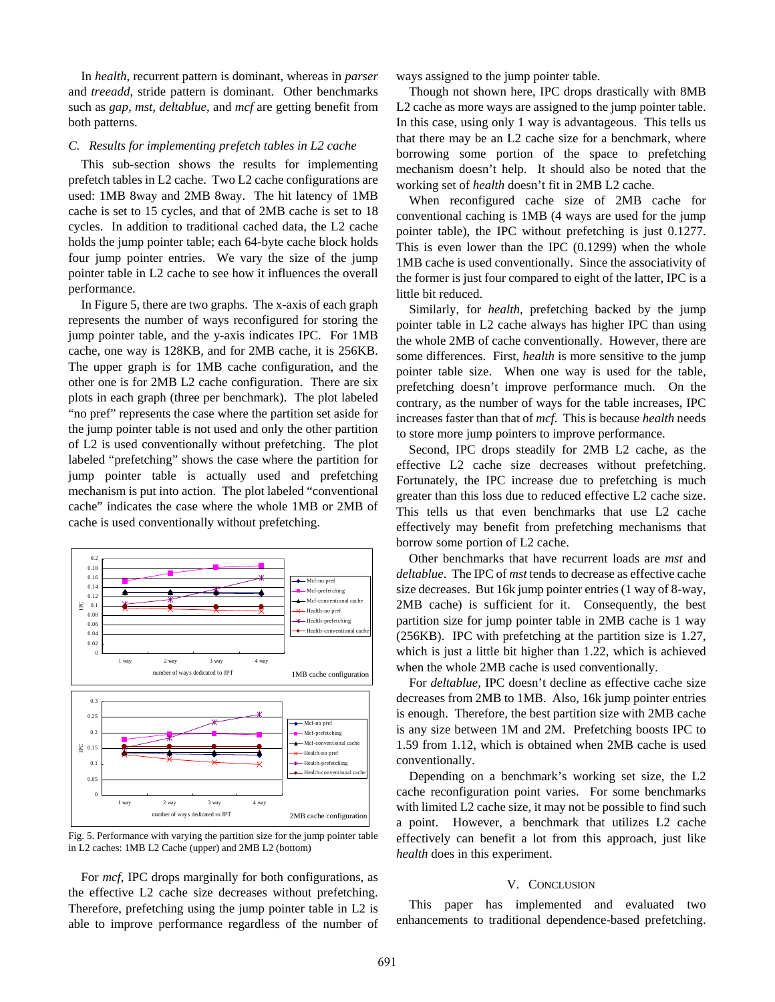In *health*, recurrent pattern is dominant, whereas in *parser* and *treeadd*, stride pattern is dominant. Other benchmarks such as *gap*, *mst*, *deltablue*, and *mcf* are getting benefit from both patterns.

#### *C. Results for implementing prefetch tables in L2 cache*

This sub-section shows the results for implementing prefetch tables in L2 cache. Two L2 cache configurations are used: 1MB 8way and 2MB 8way. The hit latency of 1MB cache is set to 15 cycles, and that of 2MB cache is set to 18 cycles. In addition to traditional cached data, the L2 cache holds the jump pointer table; each 64-byte cache block holds four jump pointer entries. We vary the size of the jump pointer table in L2 cache to see how it influences the overall performance.

In Figure 5, there are two graphs. The x-axis of each graph represents the number of ways reconfigured for storing the jump pointer table, and the y-axis indicates IPC. For 1MB cache, one way is 128KB, and for 2MB cache, it is 256KB. The upper graph is for 1MB cache configuration, and the other one is for 2MB L2 cache configuration. There are six plots in each graph (three per benchmark). The plot labeled "no pref" represents the case where the partition set aside for the jump pointer table is not used and only the other partition of L2 is used conventionally without prefetching. The plot labeled "prefetching" shows the case where the partition for jump pointer table is actually used and prefetching mechanism is put into action. The plot labeled "conventional cache" indicates the case where the whole 1MB or 2MB of cache is used conventionally without prefetching.



Fig. 5. Performance with varying the partition size for the jump pointer table in L2 caches: 1MB L2 Cache (upper) and 2MB L2 (bottom)

For *mcf*, IPC drops marginally for both configurations, as the effective L2 cache size decreases without prefetching. Therefore, prefetching using the jump pointer table in L2 is able to improve performance regardless of the number of ways assigned to the jump pointer table.

Though not shown here, IPC drops drastically with 8MB L<sub>2</sub> cache as more ways are assigned to the jump pointer table. In this case, using only 1 way is advantageous. This tells us that there may be an L2 cache size for a benchmark, where borrowing some portion of the space to prefetching mechanism doesn't help. It should also be noted that the working set of *health* doesn't fit in 2MB L2 cache.

When reconfigured cache size of 2MB cache for conventional caching is 1MB (4 ways are used for the jump pointer table), the IPC without prefetching is just 0.1277. This is even lower than the IPC (0.1299) when the whole 1MB cache is used conventionally. Since the associativity of the former is just four compared to eight of the latter, IPC is a little bit reduced.

Similarly, for *health*, prefetching backed by the jump pointer table in L2 cache always has higher IPC than using the whole 2MB of cache conventionally. However, there are some differences. First, *health* is more sensitive to the jump pointer table size. When one way is used for the table, prefetching doesn't improve performance much. On the contrary, as the number of ways for the table increases, IPC increases faster than that of *mcf*. This is because *health* needs to store more jump pointers to improve performance.

Second, IPC drops steadily for 2MB L2 cache, as the effective L2 cache size decreases without prefetching. Fortunately, the IPC increase due to prefetching is much greater than this loss due to reduced effective L2 cache size. This tells us that even benchmarks that use L2 cache effectively may benefit from prefetching mechanisms that borrow some portion of L2 cache.

Other benchmarks that have recurrent loads are *mst* and *deltablue*. The IPC of *mst* tends to decrease as effective cache size decreases. But 16k jump pointer entries (1 way of 8-way, 2MB cache) is sufficient for it. Consequently, the best partition size for jump pointer table in 2MB cache is 1 way (256KB). IPC with prefetching at the partition size is 1.27, which is just a little bit higher than 1.22, which is achieved when the whole 2MB cache is used conventionally.

For *deltablue*, IPC doesn't decline as effective cache size decreases from 2MB to 1MB. Also, 16k jump pointer entries is enough. Therefore, the best partition size with 2MB cache is any size between 1M and 2M. Prefetching boosts IPC to 1.59 from 1.12, which is obtained when 2MB cache is used conventionally.

Depending on a benchmark's working set size, the L2 cache reconfiguration point varies. For some benchmarks with limited L2 cache size, it may not be possible to find such a point. However, a benchmark that utilizes L2 cache effectively can benefit a lot from this approach, just like *health* does in this experiment.

#### V. CONCLUSION

This paper has implemented and evaluated two enhancements to traditional dependence-based prefetching.